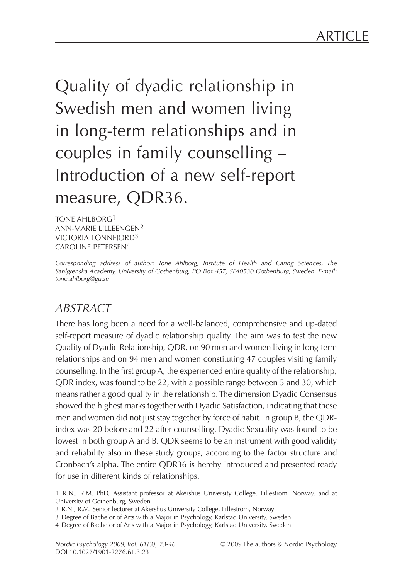Quality of dyadic relationship in Swedish men and women living in long-term relationships and in couples in family counselling – Introduction of a new self-report measure, QDR36.

Tone Ahlborg1 ANN-MARIE LILLEENGEN<sup>2</sup> VICTORIA LÖNNFIORD<sup>3</sup> Caroline Petersen4

*Corresponding address of author: Tone Ahlborg, Institute of Health and Caring Sciences, The Sahlgrenska Academy, University of Gothenburg, PO Box 457, SE40530 Gothenburg, Sweden. E-mail: tone.ahlborg@gu.se*

#### *ABSTRACT*

There has long been a need for a well-balanced, comprehensive and up-dated self-report measure of dyadic relationship quality. The aim was to test the new Quality of Dyadic Relationship, QDR, on 90 men and women living in long-term relationships and on 94 men and women constituting 47 couples visiting family counselling. In the first group A, the experienced entire quality of the relationship, QDR index, was found to be 22, with a possible range between 5 and 30, which means rather a good quality in the relationship. The dimension Dyadic Consensus showed the highest marks together with Dyadic Satisfaction, indicating that these men and women did not just stay together by force of habit. In group B, the QDRindex was 20 before and 22 after counselling. Dyadic Sexuality was found to be lowest in both group A and B. QDR seems to be an instrument with good validity and reliability also in these study groups, according to the factor structure and Cronbach's alpha. The entire QDR36 is hereby introduced and presented ready for use in different kinds of relationships.

<sup>1</sup> R.N., R.M. PhD, Assistant professor at Akershus University College, Lillestrom, Norway, and at University of Gothenburg, Sweden.

<sup>2</sup> R.N., R.M. Senior lecturer at Akershus University College, Lillestrom, Norway

<sup>3</sup> Degree of Bachelor of Arts with a Major in Psychology, Karlstad University, Sweden

<sup>4</sup> Degree of Bachelor of Arts with a Major in Psychology, Karlstad University, Sweden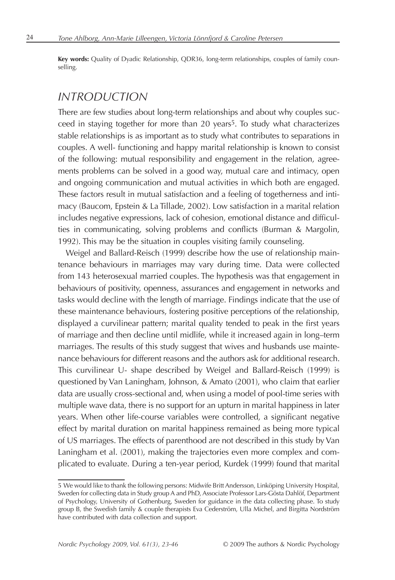**Key words:** Quality of Dyadic Relationship, QDR36, long-term relationships, couples of family counselling.

#### *INTRODUCTION*

There are few studies about long-term relationships and about why couples suc- $\epsilon$  ceed in staying together for more than 20 years<sup>5</sup>. To study what characterizes stable relationships is as important as to study what contributes to separations in couples. A well- functioning and happy marital relationship is known to consist of the following: mutual responsibility and engagement in the relation, agreements problems can be solved in a good way, mutual care and intimacy, open and ongoing communication and mutual activities in which both are engaged. These factors result in mutual satisfaction and a feeling of togetherness and intimacy (Baucom, Epstein & La Tillade, 2002). Low satisfaction in a marital relation includes negative expressions, lack of cohesion, emotional distance and difficulties in communicating, solving problems and conflicts (Burman & Margolin, 1992). This may be the situation in couples visiting family counseling.

Weigel and Ballard-Reisch (1999) describe how the use of relationship maintenance behaviours in marriages may vary during time. Data were collected from 143 heterosexual married couples. The hypothesis was that engagement in behaviours of positivity, openness, assurances and engagement in networks and tasks would decline with the length of marriage. Findings indicate that the use of these maintenance behaviours, fostering positive perceptions of the relationship, displayed a curvilinear pattern; marital quality tended to peak in the first years of marriage and then decline until midlife, while it increased again in long–term marriages. The results of this study suggest that wives and husbands use maintenance behaviours for different reasons and the authors ask for additional research. This curvilinear U- shape described by Weigel and Ballard-Reisch (1999) is questioned by Van Laningham, Johnson, & Amato (2001), who claim that earlier data are usually cross-sectional and, when using a model of pool-time series with multiple wave data, there is no support for an upturn in marital happiness in later years. When other life-course variables were controlled, a significant negative effect by marital duration on marital happiness remained as being more typical of US marriages. The effects of parenthood are not described in this study by Van Laningham et al. (2001), making the trajectories even more complex and complicated to evaluate. During a ten-year period, Kurdek (1999) found that marital

<sup>5</sup> We would like to thank the following persons: Midwife Britt Andersson, Linköping University Hospital, Sweden for collecting data in Study group A and PhD, Associate Professor Lars-Gösta Dahlöf, Department of Psychology, University of Gothenburg, Sweden for guidance in the data collecting phase. To study group B, the Swedish family & couple therapists Eva Cederström, Ulla Michel, and Birgitta Nordström have contributed with data collection and support.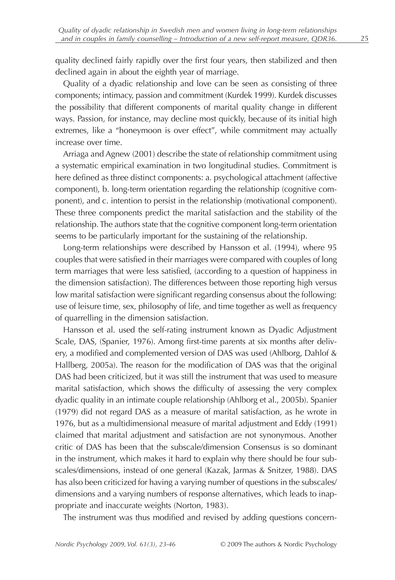quality declined fairly rapidly over the first four years, then stabilized and then declined again in about the eighth year of marriage.

Quality of a dyadic relationship and love can be seen as consisting of three components; intimacy, passion and commitment (Kurdek 1999). Kurdek discusses the possibility that different components of marital quality change in different ways. Passion, for instance, may decline most quickly, because of its initial high extremes, like a "honeymoon is over effect", while commitment may actually increase over time.

Arriaga and Agnew (2001) describe the state of relationship commitment using a systematic empirical examination in two longitudinal studies. Commitment is here defined as three distinct components: a. psychological attachment (affective component), b. long-term orientation regarding the relationship (cognitive component), and c. intention to persist in the relationship (motivational component). These three components predict the marital satisfaction and the stability of the relationship. The authors state that the cognitive component long-term orientation seems to be particularly important for the sustaining of the relationship.

Long-term relationships were described by Hansson et al. (1994), where 95 couples that were satisfied in their marriages were compared with couples of long term marriages that were less satisfied, (according to a question of happiness in the dimension satisfaction). The differences between those reporting high versus low marital satisfaction were significant regarding consensus about the following: use of leisure time, sex, philosophy of life, and time together as well as frequency of quarrelling in the dimension satisfaction.

Hansson et al. used the self-rating instrument known as Dyadic Adjustment Scale, DAS, (Spanier, 1976). Among first-time parents at six months after delivery, a modified and complemented version of DAS was used (Ahlborg, Dahlof & Hallberg, 2005a). The reason for the modification of DAS was that the original DAS had been criticized, but it was still the instrument that was used to measure marital satisfaction, which shows the difficulty of assessing the very complex dyadic quality in an intimate couple relationship (Ahlborg et al., 2005b). Spanier (1979) did not regard DAS as a measure of marital satisfaction, as he wrote in 1976, but as a multidimensional measure of marital adjustment and Eddy (1991) claimed that marital adjustment and satisfaction are not synonymous. Another critic of DAS has been that the subscale/dimension Consensus is so dominant in the instrument, which makes it hard to explain why there should be four subscales/dimensions, instead of one general (Kazak, Jarmas & Snitzer, 1988). DAS has also been criticized for having a varying number of questions in the subscales/ dimensions and a varying numbers of response alternatives, which leads to inappropriate and inaccurate weights (Norton, 1983).

The instrument was thus modified and revised by adding questions concern-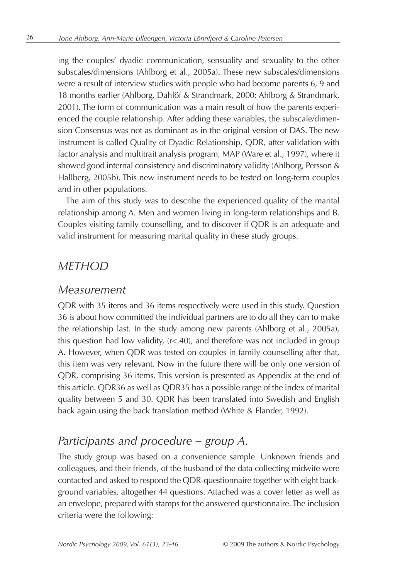ing the couples' dyadic communication, sensuality and sexuality to the other subscales/dimensions (Ahlborg et al., 2005a). These new subscales/dimensions were a result of interview studies with people who had become parents 6, 9 and 18 months earlier (Ahlborg, Dahlöf & Strandmark, 2000; Ahlborg & Strandmark, 2001). The form of communication was a main result of how the parents experienced the couple relationship. After adding these variables, the subscale/dimension Consensus was not as dominant as in the original version of DAS. The new instrument is called Quality of Dyadic Relationship, QDR, after validation with factor analysis and multitrait analysis program, MAP (Ware et al., 1997), where it showed good internal consistency and discriminatory validity (Ahlborg, Persson & Hallberg, 2005b). This new instrument needs to be tested on long-term couples and in other populations.

The aim of this study was to describe the experienced quality of the marital relationship among A. Men and women living in long-term relationships and B. Couples visiting family counselling, and to discover if QDR is an adequate and valid instrument for measuring marital quality in these study groups.

#### *METHOD*

#### *Measurement*

QDR with 35 items and 36 items respectively were used in this study. Question 36 is about how committed the individual partners are to do all they can to make the relationship last. In the study among new parents (Ahlborg et al., 2005a), this question had low validity, (r<.40), and therefore was not included in group A. However, when QDR was tested on couples in family counselling after that, this item was very relevant. Now in the future there will be only one version of QDR, comprising 36 items. This version is presented as Appendix at the end of this article. QDR36 as well as QDR35 has a possible range of the index of marital quality between 5 and 30. QDR has been translated into Swedish and English back again using the back translation method (White & Elander, 1992).

#### *Participants and procedure – group A.*

The study group was based on a convenience sample. Unknown friends and colleagues, and their friends, of the husband of the data collecting midwife were contacted and asked to respond the QDR-questionnaire together with eight background variables, altogether 44 questions. Attached was a cover letter as well as an envelope, prepared with stamps for the answered questionnaire. The inclusion criteria were the following: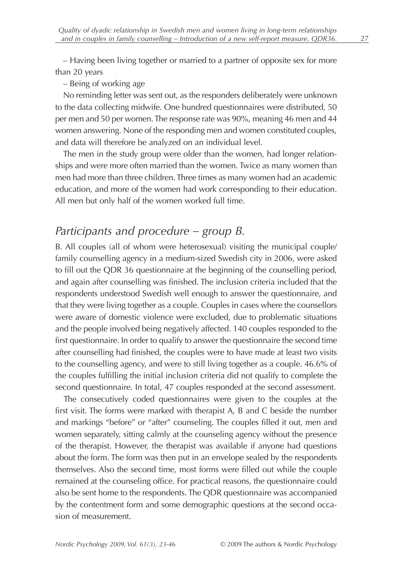– Having been living together or married to a partner of opposite sex for more than 20 years

– Being of working age

No reminding letter was sent out, as the responders deliberately were unknown to the data collecting midwife. One hundred questionnaires were distributed, 50 per men and 50 per women. The response rate was 90%, meaning 46 men and 44 women answering. None of the responding men and women constituted couples, and data will therefore be analyzed on an individual level.

The men in the study group were older than the women, had longer relationships and were more often married than the women. Twice as many women than men had more than three children. Three times as many women had an academic education, and more of the women had work corresponding to their education. All men but only half of the women worked full time.

#### *Participants and procedure – group B.*

B. All couples (all of whom were heterosexual) visiting the municipal couple/ family counselling agency in a medium-sized Swedish city in 2006, were asked to fill out the QDR 36 questionnaire at the beginning of the counselling period, and again after counselling was finished. The inclusion criteria included that the respondents understood Swedish well enough to answer the questionnaire, and that they were living together as a couple. Couples in cases where the counsellors were aware of domestic violence were excluded, due to problematic situations and the people involved being negatively affected. 140 couples responded to the first questionnaire. In order to qualify to answer the questionnaire the second time after counselling had finished, the couples were to have made at least two visits to the counselling agency, and were to still living together as a couple. 46.6% of the couples fulfilling the initial inclusion criteria did not qualify to complete the second questionnaire. In total, 47 couples responded at the second assessment.

The consecutively coded questionnaires were given to the couples at the first visit. The forms were marked with therapist A, B and C beside the number and markings "before" or "after" counseling. The couples filled it out, men and women separately, sitting calmly at the counseling agency without the presence of the therapist. However, the therapist was available if anyone had questions about the form. The form was then put in an envelope sealed by the respondents themselves. Also the second time, most forms were filled out while the couple remained at the counseling office. For practical reasons, the questionnaire could also be sent home to the respondents. The QDR questionnaire was accompanied by the contentment form and some demographic questions at the second occasion of measurement.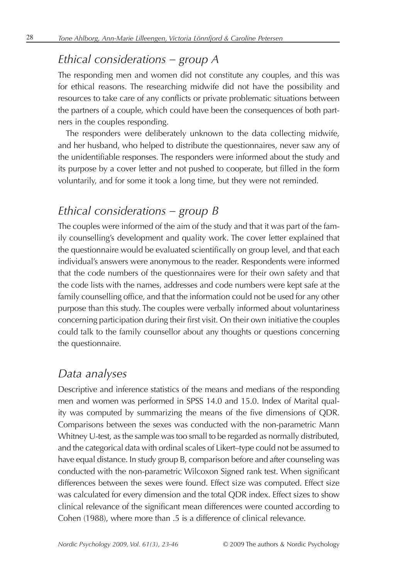# *Ethical considerations – group A*

The responding men and women did not constitute any couples, and this was for ethical reasons. The researching midwife did not have the possibility and resources to take care of any conflicts or private problematic situations between the partners of a couple, which could have been the consequences of both partners in the couples responding.

The responders were deliberately unknown to the data collecting midwife, and her husband, who helped to distribute the questionnaires, never saw any of the unidentifiable responses. The responders were informed about the study and its purpose by a cover letter and not pushed to cooperate, but filled in the form voluntarily, and for some it took a long time, but they were not reminded.

# *Ethical considerations – group B*

The couples were informed of the aim of the study and that it was part of the family counselling's development and quality work. The cover letter explained that the questionnaire would be evaluated scientifically on group level, and that each individual's answers were anonymous to the reader. Respondents were informed that the code numbers of the questionnaires were for their own safety and that the code lists with the names, addresses and code numbers were kept safe at the family counselling office, and that the information could not be used for any other purpose than this study. The couples were verbally informed about voluntariness concerning participation during their first visit. On their own initiative the couples could talk to the family counsellor about any thoughts or questions concerning the questionnaire.

#### *Data analyses*

Descriptive and inference statistics of the means and medians of the responding men and women was performed in SPSS 14.0 and 15.0. Index of Marital quality was computed by summarizing the means of the five dimensions of QDR. Comparisons between the sexes was conducted with the non-parametric Mann Whitney U-test, as the sample was too small to be regarded as normally distributed, and the categorical data with ordinal scales of Likert–type could not be assumed to have equal distance. In study group B, comparison before and after counseling was conducted with the non-parametric Wilcoxon Signed rank test. When significant differences between the sexes were found. Effect size was computed. Effect size was calculated for every dimension and the total QDR index. Effect sizes to show clinical relevance of the significant mean differences were counted according to Cohen (1988), where more than .5 is a difference of clinical relevance.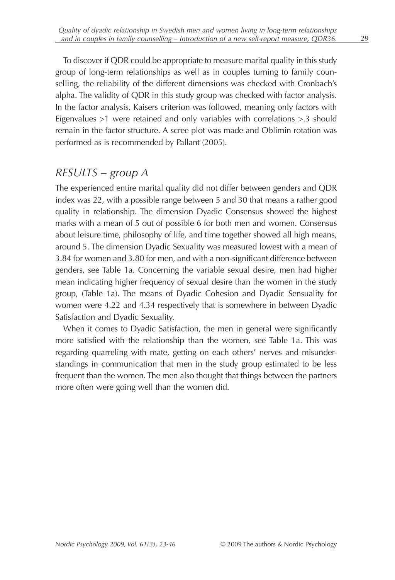To discover if QDR could be appropriate to measure marital quality in this study group of long-term relationships as well as in couples turning to family counselling, the reliability of the different dimensions was checked with Cronbach's alpha. The validity of QDR in this study group was checked with factor analysis. In the factor analysis, Kaisers criterion was followed, meaning only factors with Eigenvalues >1 were retained and only variables with correlations >.3 should remain in the factor structure. A scree plot was made and Oblimin rotation was performed as is recommended by Pallant (2005).

#### *RESULTS – group A*

The experienced entire marital quality did not differ between genders and QDR index was 22, with a possible range between 5 and 30 that means a rather good quality in relationship. The dimension Dyadic Consensus showed the highest marks with a mean of 5 out of possible 6 for both men and women. Consensus about leisure time, philosophy of life, and time together showed all high means, around 5. The dimension Dyadic Sexuality was measured lowest with a mean of 3.84 for women and 3.80 for men, and with a non-significant difference between genders, see Table 1a. Concerning the variable sexual desire, men had higher mean indicating higher frequency of sexual desire than the women in the study group, (Table 1a). The means of Dyadic Cohesion and Dyadic Sensuality for women were 4.22 and 4.34 respectively that is somewhere in between Dyadic Satisfaction and Dyadic Sexuality.

When it comes to Dyadic Satisfaction, the men in general were significantly more satisfied with the relationship than the women, see Table 1a. This was regarding quarreling with mate, getting on each others' nerves and misunderstandings in communication that men in the study group estimated to be less frequent than the women. The men also thought that things between the partners more often were going well than the women did.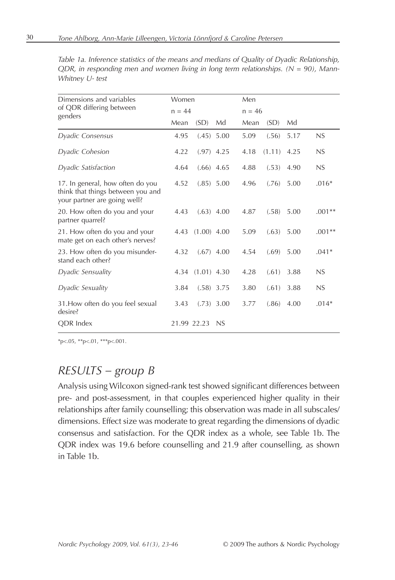| Dimensions and variables                                                                              | Women    |               |              | Men      |        |      |          |
|-------------------------------------------------------------------------------------------------------|----------|---------------|--------------|----------|--------|------|----------|
| of QDR differing between<br>genders                                                                   | $n = 44$ |               |              | $n = 46$ |        |      |          |
|                                                                                                       | Mean     | (SD)          | Md           | Mean     | (SD)   | Md   |          |
| Dyadic Consensus                                                                                      | 4.95     |               | $(.45)$ 5.00 | 5.09     | (.56)  | 5.17 | NS       |
| Dyadic Cohesion                                                                                       | 4.22     | $(.97)$ 4.25  |              | 4.18     | (1.11) | 4.25 | NS       |
| Dyadic Satisfaction                                                                                   | 4.64     | $(.66)$ 4.65  |              | 4.88     | (.53)  | 4.90 | NS       |
| 17. In general, how often do you<br>think that things between you and<br>your partner are going well? | 4.52     |               | $(.85)$ 5.00 | 4.96     | (.76)  | 5.00 | $.016*$  |
| 20. How often do you and your<br>partner quarrel?                                                     | 4.43     | $(.63)$ 4.00  |              | 4.87     | (.58)  | 5.00 | $.001**$ |
| 21. How often do you and your<br>mate get on each other's nerves?                                     | 4.43     | $(1.00)$ 4.00 |              | 5.09     | (.63)  | 5.00 | $.001**$ |
| 23. How often do you misunder-<br>stand each other?                                                   | 4.32     |               | $(.67)$ 4.00 | 4.54     | (.69)  | 5.00 | $.041*$  |
| Dyadic Sensuality                                                                                     | 4.34     | $(1.01)$ 4.30 |              | 4.28     | (.61)  | 3.88 | NS       |
| Dyadic Sexuality                                                                                      | 3.84     | $(.58)$ 3.75  |              | 3.80     | (.61)  | 3.88 | NS       |
| 31. How often do you feel sexual<br>desire?                                                           | 3.43     |               | $(.73)$ 3.00 | 3.77     | (.86)  | 4.00 | $.014*$  |
| <b>ODR</b> Index                                                                                      |          | 21.99 22.23   | NS           |          |        |      |          |

*Table 1a. Inference statistics of the means and medians of Quality of Dyadic Relationship, QDR, in responding men and women living in long term relationships. (N = 90), Mann-Whitney U- test*

\*p<.05, \*\*p<.01, \*\*\*p<.001.

#### *RESULTS – group B*

Analysis using Wilcoxon signed-rank test showed significant differences between pre- and post-assessment, in that couples experienced higher quality in their relationships after family counselling; this observation was made in all subscales/ dimensions. Effect size was moderate to great regarding the dimensions of dyadic consensus and satisfaction. For the QDR index as a whole, see Table 1b. The QDR index was 19.6 before counselling and 21.9 after counselling, as shown in Table 1b.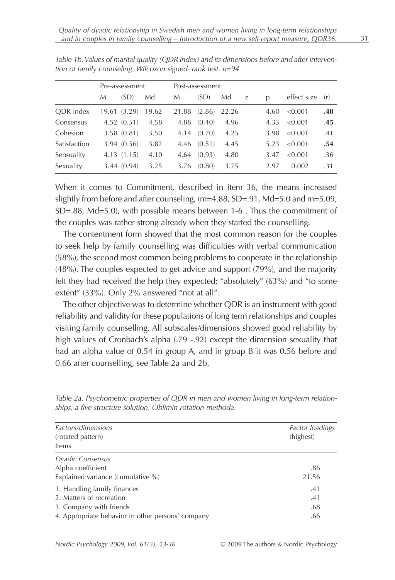|              |       | Pre-assessment |       |       | Post-assessment |       |   |      |             |     |
|--------------|-------|----------------|-------|-------|-----------------|-------|---|------|-------------|-----|
|              | М     | (SD)           | Md    | М     | (SD)            | Md    | Z | D    | effect size | (r) |
| ODR index    | 19.61 | (3.29)         | 19.62 | 21.88 | (2.86)          | 22.26 |   | 4.60 | <0.001      | .48 |
| Consensus    |       | 4.52(0.51)     | 4.58  | 4.88  | (0.40)          | 4.96  |   | 4.33 | < 0.001     | .45 |
| Cohesion     |       | 3.58(0.81)     | 3.50  | 4.14  | (0.70)          | 4.25  |   | 3.98 | < 0.001     | .41 |
| Satisfaction |       | 3.94 (0.56)    | 3.82  | 4.46  | (0.51)          | 4.45  |   | 5.23 | < 0.001     | .54 |
| Sensuality   |       | 4.13 (1.15)    | 4.10  | 4.64  | (0.93)          | 4.80  |   | 3.47 | < 0.001     | .36 |
| Sexuality    |       | 3.44 (0.94)    | 3.25  | 3.76  | (0.80)          | 3.75  |   | 2.97 | 0.002       | .31 |

*Table 1b. Values of marital quality (QDR index) and its dimensions before and after intervention of family counseling. Wilcoxon signed- rank test. n=94*

When it comes to Commitment, described in item 36, the means increased slightly from before and after counseling, (m=4.88, SD=.91, Md=5.0 and m=5.09, SD=.88, Md=5.0), with possible means between 1-6 . Thus the commitment of the couples was rather strong already when they started the counselling.

The contentment form showed that the most common reason for the couples to seek help by family counselling was difficulties with verbal communication (58%), the second most common being problems to cooperate in the relationship (48%). The couples expected to get advice and support (79%), and the majority felt they had received the help they expected; "absolutely" (63%) and "to some extent" (33%). Only 2% answered "not at all".

The other objective was to determine whether QDR is an instrument with good reliability and validity for these populations of long term relationships and couples visiting family counselling. All subscales/dimensions showed good reliability by high values of Cronbach's alpha (.79 -.92) except the dimension sexuality that had an alpha value of 0.54 in group A, and in group B it was 0.56 before and 0.66 after counselling, see Table 2a and 2b.

| Factors/dimensions<br>(rotated pattern)<br>Items                                                                                        | Factor loadings<br>(highest) |
|-----------------------------------------------------------------------------------------------------------------------------------------|------------------------------|
| Dyadic Consensus<br>Alpha coefficient<br>Explained variance (cumulative %)                                                              | .86<br>21.56                 |
| 1. Handling family finances<br>2. Matters of recreation<br>3. Company with friends<br>4. Appropriate behavior in other persons' company | .41<br>.41<br>.68<br>.66     |

*Table 2a. Psychometric properties of QDR in men and women living in long-term relationships, a five structure solution, Oblimin rotation methoda.*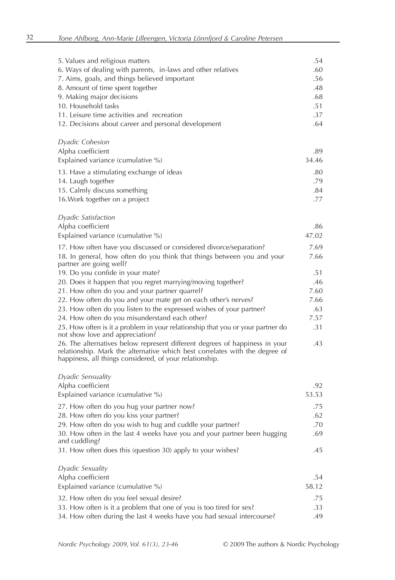| 5. Values and religious matters<br>6. Ways of dealing with parents, in-laws and other relatives<br>7. Aims, goals, and things believed important<br>8. Amount of time spent together<br>9. Making major decisions<br>10. Household tasks<br>11. Leisure time activities and recreation<br>12. Decisions about career and personal development | .54<br>.60<br>.56<br>.48<br>.68<br>.51<br>.37<br>.64 |
|-----------------------------------------------------------------------------------------------------------------------------------------------------------------------------------------------------------------------------------------------------------------------------------------------------------------------------------------------|------------------------------------------------------|
| <i>Dyadic Cohesion</i><br>Alpha coefficient                                                                                                                                                                                                                                                                                                   | .89                                                  |
| Explained variance (cumulative %)                                                                                                                                                                                                                                                                                                             | 34.46                                                |
| 13. Have a stimulating exchange of ideas                                                                                                                                                                                                                                                                                                      | .80                                                  |
| 14. Laugh together                                                                                                                                                                                                                                                                                                                            | .79                                                  |
| 15. Calmly discuss something                                                                                                                                                                                                                                                                                                                  | .84                                                  |
| 16. Work together on a project                                                                                                                                                                                                                                                                                                                | .77                                                  |
| Dyadic Satisfaction                                                                                                                                                                                                                                                                                                                           |                                                      |
| Alpha coefficient                                                                                                                                                                                                                                                                                                                             | .86                                                  |
| Explained variance (cumulative %)                                                                                                                                                                                                                                                                                                             | 47.02                                                |
| 17. How often have you discussed or considered divorce/separation?                                                                                                                                                                                                                                                                            | 7.69                                                 |
| 18. In general, how often do you think that things between you and your<br>partner are going well?                                                                                                                                                                                                                                            | 7.66                                                 |
| 19. Do you confide in your mate?                                                                                                                                                                                                                                                                                                              | .51                                                  |
| 20. Does it happen that you regret marrying/moving together?                                                                                                                                                                                                                                                                                  | .46                                                  |
| 21. How often do you and your partner quarrel?                                                                                                                                                                                                                                                                                                | 7.60                                                 |
| 22. How often do you and your mate get on each other's nerves?                                                                                                                                                                                                                                                                                | 7.66                                                 |
| 23. How often do you listen to the expressed wishes of your partner?                                                                                                                                                                                                                                                                          | .63                                                  |
| 24. How often do you misunderstand each other?                                                                                                                                                                                                                                                                                                | 7.57<br>.31                                          |
| 25. How often is it a problem in your relationship that you or your partner do<br>not show love and appreciation?                                                                                                                                                                                                                             |                                                      |
| 26. The alternatives below represent different degrees of happiness in your<br>relationship. Mark the alternative which best correlates with the degree of<br>happiness, all things considered, of your relationship.                                                                                                                         | .43                                                  |
| Dyadic Sensuality                                                                                                                                                                                                                                                                                                                             |                                                      |
| Alpha coefficient                                                                                                                                                                                                                                                                                                                             | .92                                                  |
| Explained variance (cumulative %)                                                                                                                                                                                                                                                                                                             | 53.53                                                |
| 27. How often do you hug your partner now?                                                                                                                                                                                                                                                                                                    | .75                                                  |
| 28. How often do you kiss your partner?                                                                                                                                                                                                                                                                                                       | .62                                                  |
| 29. How often do you wish to hug and cuddle your partner?                                                                                                                                                                                                                                                                                     | .70                                                  |
| 30. How often in the last 4 weeks have you and your partner been hugging                                                                                                                                                                                                                                                                      | .69                                                  |
| and cuddling?<br>31. How often does this (question 30) apply to your wishes?                                                                                                                                                                                                                                                                  | .45                                                  |
|                                                                                                                                                                                                                                                                                                                                               |                                                      |
| Dyadic Sexuality                                                                                                                                                                                                                                                                                                                              |                                                      |
| Alpha coefficient                                                                                                                                                                                                                                                                                                                             | .54<br>58.12                                         |
| Explained variance (cumulative %)                                                                                                                                                                                                                                                                                                             |                                                      |
| 32. How often do you feel sexual desire?                                                                                                                                                                                                                                                                                                      | .75                                                  |
| 33. How often is it a problem that one of you is too tired for sex?<br>34. How often during the last 4 weeks have you had sexual intercourse?                                                                                                                                                                                                 | .33<br>.49                                           |
|                                                                                                                                                                                                                                                                                                                                               |                                                      |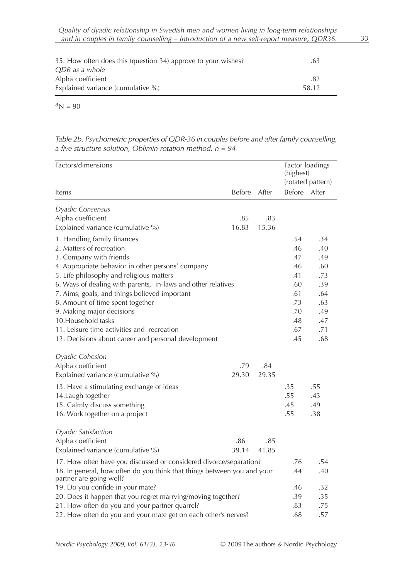| 35. How often does this (question 34) approve to your wishes? | .63   |  |
|---------------------------------------------------------------|-------|--|
| ODR as a whole                                                |       |  |
| Alpha coefficient                                             | .82   |  |
| Explained variance (cumulative %)                             | 58.12 |  |

 $a_N = 90$ 

*Table 2b. Psychometric properties of QDR-36 in couples before and after family counselling, a five structure solution, Oblimin rotation method. n = 94*

| Factors/dimensions                                                      |               |       | (highest)    | Factor loadings<br>(rotated pattern) |
|-------------------------------------------------------------------------|---------------|-------|--------------|--------------------------------------|
| Items                                                                   | <b>Before</b> | After | Before After |                                      |
| Dyadic Consensus                                                        |               |       |              |                                      |
| Alpha coefficient                                                       | .85           | .83   |              |                                      |
| Explained variance (cumulative %)                                       | 16.83         | 15.36 |              |                                      |
| 1. Handling family finances                                             |               |       | .54          | .34                                  |
| 2. Matters of recreation                                                |               |       | .46          | .40                                  |
| 3. Company with friends                                                 |               |       | .47          | .49                                  |
| 4. Appropriate behavior in other persons' company                       |               |       | .46          | .60                                  |
| 5. Life philosophy and religious matters                                |               |       | .41          | .73                                  |
| 6. Ways of dealing with parents, in-laws and other relatives            |               |       | .60          | .39                                  |
| 7. Aims, goals, and things believed important                           |               |       | .61          | .64                                  |
| 8. Amount of time spent together                                        |               |       | .73          | .63                                  |
| 9. Making major decisions                                               |               |       | .70          | .49                                  |
| 10. Household tasks                                                     |               |       | .48          | .47                                  |
| 11. Leisure time activities and recreation                              |               |       | .67          | .71                                  |
| 12. Decisions about career and personal development                     |               |       | .45          | .68                                  |
| <b>Dyadic Cohesion</b>                                                  |               |       |              |                                      |
| Alpha coefficient                                                       | .79           | .84   |              |                                      |
| Explained variance (cumulative %)                                       | 29.30         | 29.35 |              |                                      |
| 13. Have a stimulating exchange of ideas                                |               |       | .35          | .55                                  |
| 14. Laugh together                                                      |               |       | .55          | .43                                  |
| 15. Calmly discuss something                                            |               |       | .45          | .49                                  |
| 16. Work together on a project                                          |               |       | .55          | .38                                  |
|                                                                         |               |       |              |                                      |
| Dyadic Satisfaction                                                     |               |       |              |                                      |
| Alpha coefficient                                                       | .86           | .85   |              |                                      |
| Explained variance (cumulative %)                                       | 39.14         | 41.85 |              |                                      |
| 17. How often have you discussed or considered divorce/separation?      |               |       | .76          | .54                                  |
| 18. In general, how often do you think that things between you and your |               |       | .44          | .40                                  |
| partner are going well?                                                 |               |       |              |                                      |
| 19. Do you confide in your mate?                                        |               |       | .46          | .32                                  |
| 20. Does it happen that you regret marrying/moving together?            |               |       | .39          | .35                                  |
| 21. How often do you and your partner quarrel?                          |               |       | .83          | .75                                  |
| 22. How often do you and your mate get on each other's nerves?          |               |       | .68          | .57                                  |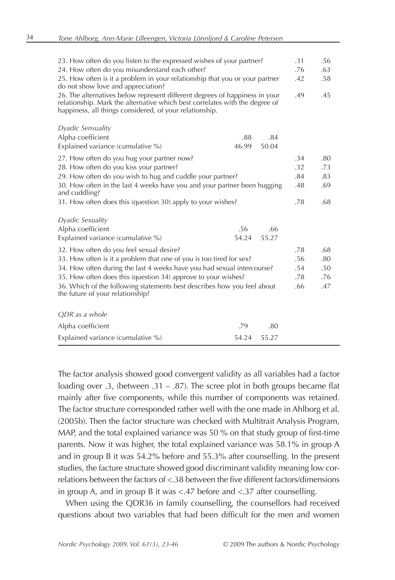| 23. How often do you listen to the expressed wishes of your partner?                                                                                                                                                  |       |       | .31 | .56 |
|-----------------------------------------------------------------------------------------------------------------------------------------------------------------------------------------------------------------------|-------|-------|-----|-----|
| 24. How often do you misunderstand each other?                                                                                                                                                                        |       |       | .76 | .63 |
| 25. How often is it a problem in your relationship that you or your partner<br>do not show love and appreciation?                                                                                                     |       |       | .42 | .58 |
| 26. The alternatives below represent different degrees of happiness in your<br>relationship. Mark the alternative which best correlates with the degree of<br>happiness, all things considered, of your relationship. |       |       | .49 | .45 |
| Dyadic Sensuality                                                                                                                                                                                                     |       |       |     |     |
| Alpha coefficient                                                                                                                                                                                                     | .88   | .84   |     |     |
| Explained variance (cumulative %)                                                                                                                                                                                     | 46.99 | 50.04 |     |     |
| 27. How often do you hug your partner now?                                                                                                                                                                            |       |       | .34 | .80 |
| 28. How often do you kiss your partner?                                                                                                                                                                               |       |       | .32 | .73 |
| 29. How often do you wish to hug and cuddle your partner?                                                                                                                                                             |       |       | .84 | .83 |
| 30. How often in the last 4 weeks have you and your partner been hugging<br>and cuddling?                                                                                                                             |       |       | .48 | .69 |
| 31. How often does this (question 30) apply to your wishes?                                                                                                                                                           |       |       | .78 | .68 |
| Dyadic Sexuality                                                                                                                                                                                                      |       |       |     |     |
| Alpha coefficient                                                                                                                                                                                                     | .56   | .66   |     |     |
| Explained variance (cumulative %)                                                                                                                                                                                     | 54.24 | 55.27 |     |     |
| 32. How often do you feel sexual desire?                                                                                                                                                                              |       |       | .78 | .68 |
| 33. How often is it a problem that one of you is too tired for sex?                                                                                                                                                   |       |       | .56 | .80 |
| 34. How often during the last 4 weeks have you had sexual intercourse?                                                                                                                                                |       |       | .54 | .50 |
| 35. How often does this (question 34) approve to your wishes?                                                                                                                                                         |       |       | .78 | .76 |
| 36. Which of the following statements best describes how you feel about<br>the future of your relationship?                                                                                                           |       |       | .66 | .47 |
| ODR as a whole                                                                                                                                                                                                        |       |       |     |     |
| Alpha coefficient                                                                                                                                                                                                     | .79   | .80   |     |     |
| Explained variance (cumulative %)                                                                                                                                                                                     | 54.24 | 55.27 |     |     |

The factor analysis showed good convergent validity as all variables had a factor loading over .3, (between .31 – .87). The scree plot in both groups became flat mainly after five components, while this number of components was retained. The factor structure corresponded rather well with the one made in Ahlborg et al. (2005b). Then the factor structure was checked with Multitrait Analysis Program, MAP, and the total explained variance was 50 % on that study group of first-time parents. Now it was higher, the total explained variance was 58.1% in group A and in group B it was 54.2% before and 55.3% after counselling. In the present studies, the facture structure showed good discriminant validity meaning low correlations between the factors of <.38 between the five different factors/dimensions in group A, and in group B it was <.47 before and <.37 after counselling.

When using the QDR36 in family counselling, the counsellors had received questions about two variables that had been difficult for the men and women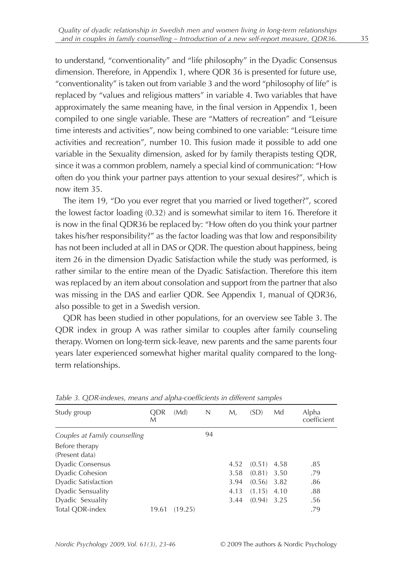to understand, "conventionality" and "life philosophy" in the Dyadic Consensus dimension. Therefore, in Appendix 1, where QDR 36 is presented for future use, "conventionality" is taken out from variable 3 and the word "philosophy of life" is replaced by "values and religious matters" in variable 4. Two variables that have approximately the same meaning have, in the final version in Appendix 1, been compiled to one single variable. These are "Matters of recreation" and "Leisure time interests and activities", now being combined to one variable: "Leisure time activities and recreation", number 10. This fusion made it possible to add one variable in the Sexuality dimension, asked for by family therapists testing QDR, since it was a common problem, namely a special kind of communication: "How often do you think your partner pays attention to your sexual desires?", which is now item 35.

The item 19, "Do you ever regret that you married or lived together?", scored the lowest factor loading (0.32) and is somewhat similar to item 16. Therefore it is now in the final QDR36 be replaced by: "How often do you think your partner takes his/her responsibility?" as the factor loading was that low and responsibility has not been included at all in DAS or QDR. The question about happiness, being item 26 in the dimension Dyadic Satisfaction while the study was performed, is rather similar to the entire mean of the Dyadic Satisfaction. Therefore this item was replaced by an item about consolation and support from the partner that also was missing in the DAS and earlier QDR. See Appendix 1, manual of QDR36, also possible to get in a Swedish version.

QDR has been studied in other populations, for an overview see Table 3. The QDR index in group A was rather similar to couples after family counseling therapy. Women on long-term sick-leave, new parents and the same parents four years later experienced somewhat higher marital quality compared to the longterm relationships.

| Study group                   | <b>ODR</b><br>М | (Md)    | N  | М.   | (SD)   | Md   | Alpha<br>coefficient |
|-------------------------------|-----------------|---------|----|------|--------|------|----------------------|
| Couples at Family counselling |                 |         | 94 |      |        |      |                      |
| Before therapy                |                 |         |    |      |        |      |                      |
| (Present data)                |                 |         |    |      |        |      |                      |
| Dyadic Consensus              |                 |         |    | 4.52 | (0.51) | 4.58 | .85                  |
| Dyadic Cohesion               |                 |         |    | 3.58 | (0.81) | 3.50 | .79                  |
| Dyadic Satisfaction           |                 |         |    | 3.94 | (0.56) | 3.82 | .86                  |
| Dyadic Sensuality             |                 |         |    | 4.13 | (1.15) | 4.10 | .88                  |
| Dyadic Sexuality              |                 |         |    | 3.44 | (0.94) | 3.25 | .56                  |
| Total ODR-index               | 19.61           | (19.25) |    |      |        |      | .79                  |

*Table 3. QDR-indexes, means and alpha-coefficients in different samples*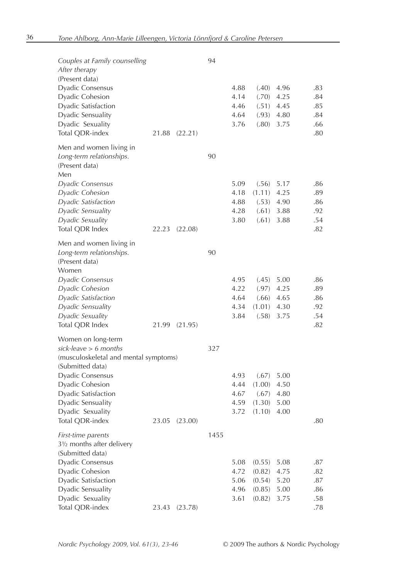| Couples at Family counselling<br>After therapy<br>(Present data)<br>Dyadic Consensus<br>Dyadic Cohesion<br>Dyadic Satisfaction<br>Dyadic Sensuality<br>Dyadic Sexuality<br>Total QDR-index | 21.88 | (22.21) | 94   | 4.88<br>4.14<br>4.46<br>4.64<br>3.76 | (.40)<br>(.70)<br>(.51)<br>(.93)<br>(.80)    | 4.96<br>4.25<br>4.45<br>4.80<br>3.75 | .83<br>.84<br>.85<br>.84<br>.66<br>.80 |
|--------------------------------------------------------------------------------------------------------------------------------------------------------------------------------------------|-------|---------|------|--------------------------------------|----------------------------------------------|--------------------------------------|----------------------------------------|
| Men and women living in<br>Long-term relationships.<br>(Present data)<br>Men                                                                                                               |       |         | 90   |                                      |                                              |                                      |                                        |
| Dyadic Consensus<br><i>Dyadic Cohesion</i><br><i>Dyadic Satisfaction</i><br>Dyadic Sensuality<br>Dyadic Sexuality<br>Total QDR Index                                                       | 22.23 | (22.08) |      | 5.09<br>4.18<br>4.88<br>4.28<br>3.80 | (.56)<br>(1.11)<br>(.53)<br>(.61)<br>(.61)   | 5.17<br>4.25<br>4.90<br>3.88<br>3.88 | .86<br>.89<br>.86<br>.92<br>.54<br>.82 |
| Men and women living in<br>Long-term relationships.<br>(Present data)<br>Women                                                                                                             |       |         | 90   |                                      |                                              |                                      |                                        |
| Dyadic Consensus<br><i>Dyadic Cohesion</i><br><i>Dyadic Satisfaction</i><br><i>Dyadic Sensuality</i><br>Dyadic Sexuality<br>Total QDR Index                                                | 21.99 | (21.95) |      | 4.95<br>4.22<br>4.64<br>4.34<br>3.84 | (.45)<br>(.97)<br>(.66)<br>(1.01)<br>(.58)   | 5.00<br>4.25<br>4.65<br>4.30<br>3.75 | .86<br>.89<br>.86<br>.92<br>.54<br>.82 |
| Women on long-term<br>sick-leave > 6 months<br>(musculoskeletal and mental symptoms)                                                                                                       |       |         | 327  |                                      |                                              |                                      |                                        |
| (Submitted data)<br>Dyadic Consensus<br>Dyadic Cohesion<br>Dyadic Satisfaction<br>Dyadic Sensuality<br>Dyadic Sexuality<br>Total QDR-index                                                 | 23.05 | (23.00) |      | 4.93<br>4.44<br>4.67<br>4.59<br>3.72 | (.67)<br>(1.00)<br>(.67)<br>(1.30)<br>(1.10) | 5.00<br>4.50<br>4.80<br>5.00<br>4.00 | .80                                    |
| <i>First-time parents</i><br>31/2 months after delivery<br>(Submitted data)<br>Dyadic Consensus<br>Dyadic Cohesion<br>Dyadic Satisfaction<br>Dyadic Sensuality                             |       |         | 1455 | 5.08<br>4.72<br>5.06<br>4.96         | (0.55)<br>(0.82)<br>(0.54)<br>(0.85)         | 5.08<br>4.75<br>5.20<br>5.00         | .87<br>.82<br>.87<br>.86               |
| Dyadic Sexuality<br>Total QDR-index                                                                                                                                                        | 23.43 | (23.78) |      | 3.61                                 | (0.82)                                       | 3.75                                 | .58<br>.78                             |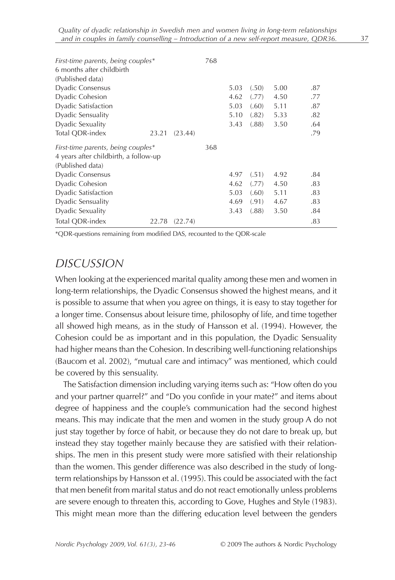| First-time parents, being couples*<br>6 months after childbirth |       |         | 768 |      |       |      |     |
|-----------------------------------------------------------------|-------|---------|-----|------|-------|------|-----|
| (Published data)                                                |       |         |     |      |       |      |     |
| <b>Dyadic Consensus</b>                                         |       |         |     | 5.03 | (.50) | 5.00 | .87 |
| Dyadic Cohesion                                                 |       |         |     | 4.62 | (.77) | 4.50 | .77 |
| <b>Dyadic Satisfaction</b>                                      |       |         |     | 5.03 | (.60) | 5.11 | .87 |
| Dyadic Sensuality                                               |       |         |     | 5.10 | (.82) | 5.33 | .82 |
| Dyadic Sexuality                                                |       |         |     | 3.43 | (.88) | 3.50 | .64 |
| Total QDR-index                                                 | 23.21 | (23.44) |     |      |       |      | .79 |
|                                                                 |       |         |     |      |       |      |     |
| First-time parents, being couples*                              |       |         | 368 |      |       |      |     |
| 4 years after childbirth, a follow-up                           |       |         |     |      |       |      |     |
| (Published data)                                                |       |         |     |      |       |      |     |
| <b>Dyadic Consensus</b>                                         |       |         |     | 4.97 | (.51) | 4.92 | .84 |
| Dyadic Cohesion                                                 |       |         |     | 4.62 | (.77) | 4.50 | .83 |
| <b>Dyadic Satisfaction</b>                                      |       |         |     | 5.03 | (.60) | 5.11 | .83 |
| Dyadic Sensuality                                               |       |         |     | 4.69 | (.91) | 4.67 | .83 |
| Dyadic Sexuality                                                |       |         |     | 3.43 | (.88) | 3.50 | .84 |

\*QDR-questions remaining from modified DAS, recounted to the QDR-scale

#### *DISCUSSION*

When looking at the experienced marital quality among these men and women in long-term relationships, the Dyadic Consensus showed the highest means, and it is possible to assume that when you agree on things, it is easy to stay together for a longer time. Consensus about leisure time, philosophy of life, and time together all showed high means, as in the study of Hansson et al. (1994). However, the Cohesion could be as important and in this population, the Dyadic Sensuality had higher means than the Cohesion. In describing well-functioning relationships (Baucom et al. 2002), "mutual care and intimacy" was mentioned, which could be covered by this sensuality.

The Satisfaction dimension including varying items such as: "How often do you and your partner quarrel?" and "Do you confide in your mate?" and items about degree of happiness and the couple's communication had the second highest means. This may indicate that the men and women in the study group A do not just stay together by force of habit, or because they do not dare to break up, but instead they stay together mainly because they are satisfied with their relationships. The men in this present study were more satisfied with their relationship than the women. This gender difference was also described in the study of longterm relationships by Hansson et al. (1995). This could be associated with the fact that men benefit from marital status and do not react emotionally unless problems are severe enough to threaten this, according to Gove, Hughes and Style (1983). This might mean more than the differing education level between the genders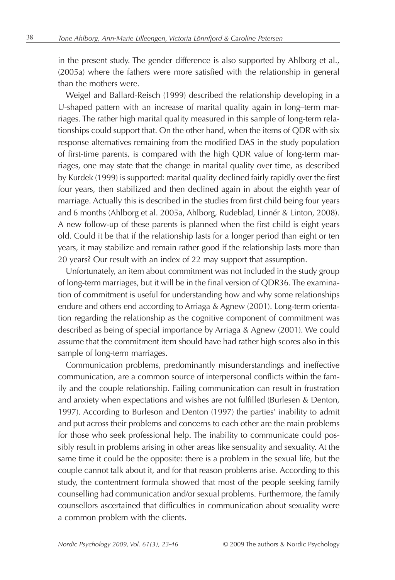in the present study. The gender difference is also supported by Ahlborg et al., (2005a) where the fathers were more satisfied with the relationship in general than the mothers were.

Weigel and Ballard-Reisch (1999) described the relationship developing in a U-shaped pattern with an increase of marital quality again in long–term marriages. The rather high marital quality measured in this sample of long-term relationships could support that. On the other hand, when the items of QDR with six response alternatives remaining from the modified DAS in the study population of first-time parents, is compared with the high QDR value of long-term marriages, one may state that the change in marital quality over time, as described by Kurdek (1999) is supported: marital quality declined fairly rapidly over the first four years, then stabilized and then declined again in about the eighth year of marriage. Actually this is described in the studies from first child being four years and 6 months (Ahlborg et al. 2005a, Ahlborg, Rudeblad, Linnér & Linton, 2008). A new follow-up of these parents is planned when the first child is eight years old. Could it be that if the relationship lasts for a longer period than eight or ten years, it may stabilize and remain rather good if the relationship lasts more than 20 years? Our result with an index of 22 may support that assumption.

Unfortunately, an item about commitment was not included in the study group of long-term marriages, but it will be in the final version of QDR36. The examination of commitment is useful for understanding how and why some relationships endure and others end according to Arriaga & Agnew (2001). Long-term orientation regarding the relationship as the cognitive component of commitment was described as being of special importance by Arriaga & Agnew (2001). We could assume that the commitment item should have had rather high scores also in this sample of long-term marriages.

Communication problems, predominantly misunderstandings and ineffective communication, are a common source of interpersonal conflicts within the family and the couple relationship. Failing communication can result in frustration and anxiety when expectations and wishes are not fulfilled (Burlesen & Denton, 1997). According to Burleson and Denton (1997) the parties' inability to admit and put across their problems and concerns to each other are the main problems for those who seek professional help. The inability to communicate could possibly result in problems arising in other areas like sensuality and sexuality. At the same time it could be the opposite: there is a problem in the sexual life, but the couple cannot talk about it, and for that reason problems arise. According to this study, the contentment formula showed that most of the people seeking family counselling had communication and/or sexual problems. Furthermore, the family counsellors ascertained that difficulties in communication about sexuality were a common problem with the clients.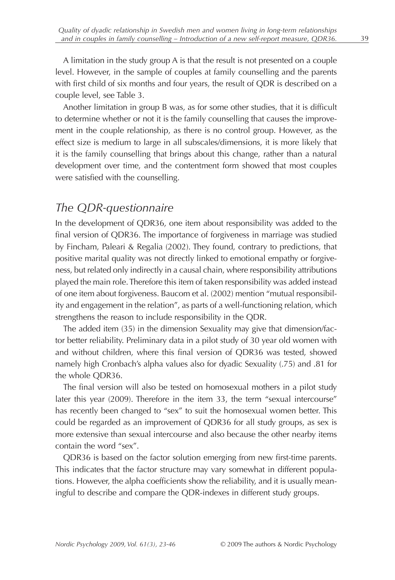A limitation in the study group A is that the result is not presented on a couple level. However, in the sample of couples at family counselling and the parents with first child of six months and four years, the result of QDR is described on a couple level, see Table 3.

Another limitation in group B was, as for some other studies, that it is difficult to determine whether or not it is the family counselling that causes the improvement in the couple relationship, as there is no control group. However, as the effect size is medium to large in all subscales/dimensions, it is more likely that it is the family counselling that brings about this change, rather than a natural development over time, and the contentment form showed that most couples were satisfied with the counselling.

# *The QDR-questionnaire*

In the development of QDR36, one item about responsibility was added to the final version of QDR36. The importance of forgiveness in marriage was studied by Fincham, Paleari & Regalia (2002). They found, contrary to predictions, that positive marital quality was not directly linked to emotional empathy or forgiveness, but related only indirectly in a causal chain, where responsibility attributions played the main role. Therefore this item of taken responsibility was added instead of one item about forgiveness. Baucom et al. (2002) mention "mutual responsibility and engagement in the relation", as parts of a well-functioning relation, which strengthens the reason to include responsibility in the QDR.

The added item (35) in the dimension Sexuality may give that dimension/factor better reliability. Preliminary data in a pilot study of 30 year old women with and without children, where this final version of QDR36 was tested, showed namely high Cronbach's alpha values also for dyadic Sexuality (.75) and .81 for the whole QDR36.

The final version will also be tested on homosexual mothers in a pilot study later this year (2009). Therefore in the item 33, the term "sexual intercourse" has recently been changed to "sex" to suit the homosexual women better. This could be regarded as an improvement of QDR36 for all study groups, as sex is more extensive than sexual intercourse and also because the other nearby items contain the word "sex".

QDR36 is based on the factor solution emerging from new first-time parents. This indicates that the factor structure may vary somewhat in different populations. However, the alpha coefficients show the reliability, and it is usually meaningful to describe and compare the QDR-indexes in different study groups.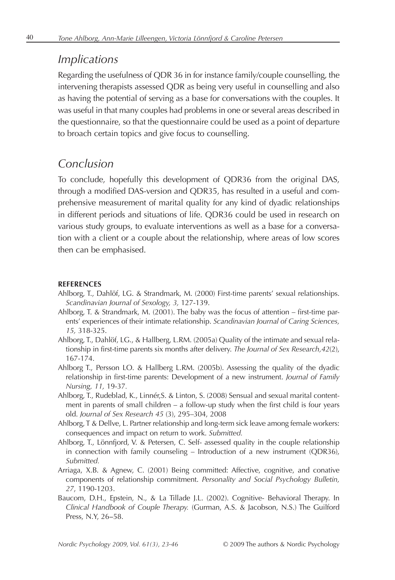#### *Implications*

Regarding the usefulness of QDR 36 in for instance family/couple counselling, the intervening therapists assessed QDR as being very useful in counselling and also as having the potential of serving as a base for conversations with the couples. It was useful in that many couples had problems in one or several areas described in the questionnaire, so that the questionnaire could be used as a point of departure to broach certain topics and give focus to counselling.

# *Conclusion*

To conclude, hopefully this development of QDR36 from the original DAS, through a modified DAS-version and QDR35, has resulted in a useful and comprehensive measurement of marital quality for any kind of dyadic relationships in different periods and situations of life. QDR36 could be used in research on various study groups, to evaluate interventions as well as a base for a conversation with a client or a couple about the relationship, where areas of low scores then can be emphasised.

#### **REFERENCES**

- Ahlborg, T., Dahlöf, LG. & Strandmark, M. (2000) First-time parents' sexual relationships. *Scandinavian Journal of Sexology, 3,* 127-139.
- Ahlborg, T. & Strandmark, M. (2001). The baby was the focus of attention first-time parents' experiences of their intimate relationship. *Scandinavian Journal of Caring Sciences, 15,* 318-325.
- Ahlborg, T., Dahlöf, LG., & Hallberg, L.RM. (2005a) Quality of the intimate and sexual relationship in first-time parents six months after delivery. *The Journal of Sex Research,42*(2), 167-174.
- Ahlborg T., Persson LO. & Hallberg L.RM. (2005b). Assessing the quality of the dyadic relationship in first-time parents: Development of a new instrument. *Journal of Family Nursing, 11,* 19-37*.*
- Ahlborg, T., Rudeblad, K., Linnér,S. & Linton, S. (2008) Sensual and sexual marital contentment in parents of small children – a follow-up study when the first child is four years old. *Journal of Sex Research 45* (3), 295–304, 2008
- Ahlborg, T & Dellve, L. Partner relationship and long-term sick leave among female workers: consequences and impact on return to work. *Submitted.*
- Ahlborg, T., Lönnfjord, V. & Petersen, C. Self- assessed quality in the couple relationship in connection with family counseling – Introduction of a new instrument (QDR36), *Submitted.*
- Arriaga, X.B. & Agnew, C. (2001) Being committed: Affective, cognitive, and conative components of relationship commitment. *Personality and Social Psychology Bulletin, 27*, 1190-1203.
- Baucom, D.H., Epstein, N., & La Tillade J.L. (2002). Cognitive- Behavioral Therapy. In *Clinical Handbook of Couple Therapy.* (Gurman, A.S. & Jacobson, N.S.) The Guilford Press, N.Y, 26-58.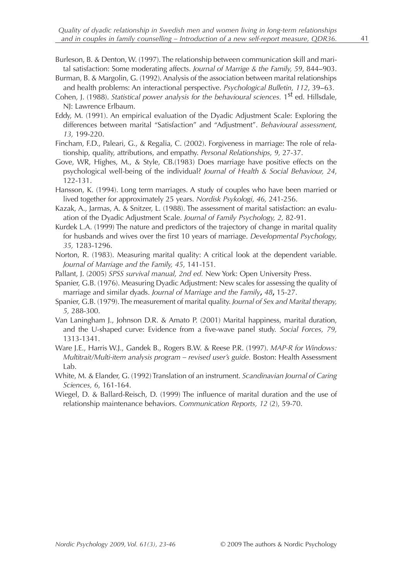- Burleson, B. & Denton, W. (1997). The relationship between communication skill and marital satisfaction: Some moderating affects. *Journal of Marrige & the Family*, 59, 844–903.
- Burman, B. & Margolin, G. (1992). Analysis of the association between marital relationships and health problems: An interactional perspective. *Psychological Bulletin*, 112, 39-63.
- Cohen, J. (1988). *Statistical power analysis for the behavioural sciences*. 1<sup>st</sup> ed. Hillsdale, NJ: Lawrence Erlbaum.
- Eddy, M. (1991). An empirical evaluation of the Dyadic Adjustment Scale: Exploring the differences between marital "Satisfaction" and "Adjustment". *Behavioural assessment, 13,* 199-220.
- Fincham, F.D., Paleari, G., & Regalia, C. (2002). Forgiveness in marriage: The role of relationship, quality, attributions, and empathy. *Personal Relationships, 9,* 27-37.
- Gove, WR, Highes, M., & Style, CB.(1983) Does marriage have positive effects on the psychological well-being of the individual? *Journal of Health & Social Behaviour, 24*, 122-131.
- Hansson, K. (1994). Long term marriages. A study of couples who have been married or lived together for approximately 25 years. *Nordisk Psykologi, 46,* 241-256.
- Kazak, A., Jarmas, A. & Snitzer, L. (1988). The assessment of marital satisfaction: an evaluation of the Dyadic Adjustment Scale. *Journal of Family Psychology, 2,* 82-91.
- Kurdek L.A. (1999) The nature and predictors of the trajectory of change in marital quality for husbands and wives over the first 10 years of marriage. *Developmental Psychology, 35,* 1283-1296.
- Norton, R. (1983). Measuring marital quality: A critical look at the dependent variable. *Journal of Marriage and the Family, 45*, 141-151*.*
- Pallant, J. (2005) *SPSS survival manual, 2nd ed.* New York: Open University Press.
- Spanier, G.B. (1976). Measuring Dyadic Adjustment: New scales for assessing the quality of marriage and similar dyads. *Journal of Marriage and the Family***,** *48***,** 15-27.
- Spanier, G.B. (1979). The measurement of marital quality. *Journal of Sex and Marital therapy, 5,* 288-300.
- Van Laningham J., Johnson D.R. & Amato P. (2001) Marital happiness, marital duration, and the U-shaped curve: Evidence from a five-wave panel study. *Social Forces, 79,* 1313-1341.
- Ware J.E., Harris W.J., Gandek B., Rogers B.W. & Reese P.R. (1997). *MAP-R for Windows: Multitrait/Multi-item analysis program – revised user's guide.* Boston: Health Assessment Lab.
- White, M. & Elander, G. (1992) Translation of an instrument. *Scandinavian Journal of Caring Sciences, 6*, 161-164.
- Wiegel, D. & Ballard-Reisch, D. (1999) The influence of marital duration and the use of relationship maintenance behaviors. *Communication Reports, 12* (2), 59-70.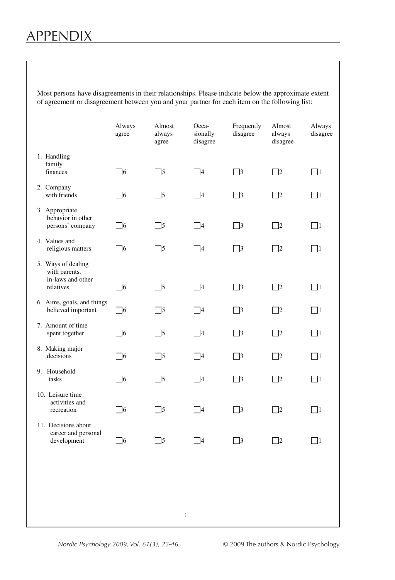# APPENDIX

Most persons have disagreements in their relationships. Please indicate below the approximate extent of agreement or disagreement between you and your partner for each item on the following list:

|                                                           | Always<br>agree | Almost<br>always<br>agree | Occa-<br>sionally<br>disagree | Frequently<br>disagree | Almost<br>always<br>disagree | Always<br>disagree |
|-----------------------------------------------------------|-----------------|---------------------------|-------------------------------|------------------------|------------------------------|--------------------|
| 1. Handling<br>family<br>finances                         | $\Box$ 6        | $\Box$ 5                  | $\Box$ 4                      | $\Box$ 3               | $\Box$ 2                     | $\Box$ 1           |
| 2. Company<br>with friends                                | $\Box$ 6        | $\Box$ 5                  | $\Box$ 4                      | $\Box$ 3               | $\Box$ 2                     | $\Box$ 1           |
| 3. Appropriate<br>behavior in other<br>persons' company   | $\Box$ 6        | $\Box$ 5                  | $\Box$ 4                      | $\Box$ 3               | $\Box$ 2                     | $\Box$ 1           |
| 4. Values and<br>religious matters                        | $\Box$ 6        | $\Box$ 5                  | $\Box$ 4                      | $\Box$ 3               | $\Box$ 2                     | $\Box$ 1           |
| 5. Ways of dealing<br>with parents,                       |                 |                           |                               |                        |                              |                    |
| in-laws and other<br>relatives                            | $\Box$ 6        | $\Box$ 5                  | $\Box$ 4                      | $\Box$ 3               | $\Box$ 2                     | $\Box$ 1           |
| 6. Aims, goals, and things<br>believed important          | $\Box$ 6        | $\Box$ 5                  | $\Box$ 4                      | $\Box$ 3               | $\Box$ 2                     | $\Box$ 1           |
| 7. Amount of time<br>spent together                       | $\Box$ 6        | $\square$ 5               | $\Box$ 4                      | $\Box$ 3               | $\Box$ 2                     | $\Box$ 1           |
| 8. Making major<br>decisions                              | $\Box$ 6        | $\square$ 5               | $\Box$ 4                      | $\Box$ 3               | $\Box$ 2                     | $\Box$ 1           |
| 9. Household<br>tasks                                     | $\Box$ 6        | $\square$ 5               | $\Box$ 4                      | $\Box$ 3               | $\square$ 2                  | $\Box$ 1           |
| 10. Leisure time<br>activities and<br>recreation          | $\Box$ 6        | $\Box$ 5                  | $\Box$ 4                      | $\Box$ 3               | $\Box$ 2                     | $\Box$ 1           |
| 11. Decisions about<br>career and personal<br>development | $\square$ 6     | $\Box$ 5                  | $\Box$ 4                      | $\Box$ 3               | $\Box$ 2                     | $\Box$             |
|                                                           |                 |                           |                               |                        |                              |                    |
|                                                           |                 |                           |                               |                        |                              |                    |
|                                                           |                 | $\mathbf{1}$              |                               |                        |                              |                    |
|                                                           |                 |                           |                               |                        |                              |                    |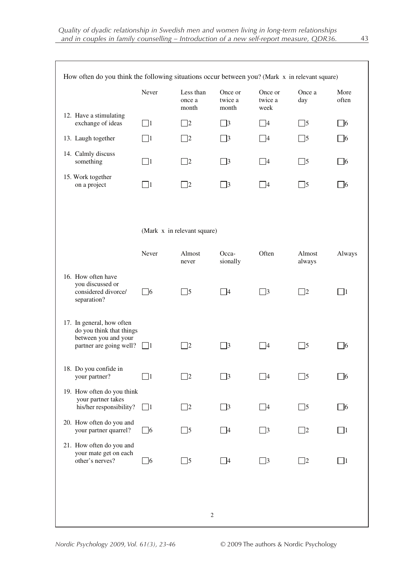|                                                                                                          | Never    | Less than<br>once a<br>month | Once or<br>twice a<br>month | Once or<br>twice a<br>week | Once a<br>day    | More<br>often |
|----------------------------------------------------------------------------------------------------------|----------|------------------------------|-----------------------------|----------------------------|------------------|---------------|
| 12. Have a stimulating<br>exchange of ideas                                                              | $\Box$ 1 | $\Box$ 2                     | $\Box$ 3                    | $\Box$ 4                   | $\Box$ 5         | $\Box$ 6      |
| 13. Laugh together                                                                                       | $\Box$ 1 | $\Box$ 2                     | $\Box$ 3                    | $\Box$ 4                   | $\Box$ 5         | $\Box$ 6      |
| 14. Calmly discuss<br>something                                                                          | $\Box$ 1 | $\Box$ 2                     | $\Box$ 3                    | $\Box$ 4                   | $\Box$ 5         | $\Box$ 6      |
| 15. Work together<br>on a project                                                                        | $\Box$ 1 | $\Box$ 2                     | $\Box$ 3                    | $\Box$ 4                   | $\Box$ 5         | $\Box$ 6      |
|                                                                                                          |          | (Mark x in relevant square)  |                             |                            |                  |               |
|                                                                                                          | Never    | Almost<br>never              | Occa-<br>sionally           | Often                      | Almost<br>always | Always        |
| 16. How often have<br>you discussed or<br>considered divorce/<br>separation?                             | $\Box$ 6 | $\Box$ 5                     | $\Box$ 4                    | $\Box$ 3                   | $\Box$ 2         | $\Box$ 1      |
| 17. In general, how often<br>do you think that things<br>between you and your<br>partner are going well? | $\Box$   | $\Box$ 2                     | $\Box$ 3                    | $\Box$ 4                   | $\Box$ 5         | $\square$ 6   |
| 18. Do you confide in<br>your partner?                                                                   | $\Box$ 1 | $\Box$ 2                     | $\Box$ 3                    | $\Box$ 4                   | $\Box$ 5         | $\Box$ 6      |
| 19. How often do you think<br>your partner takes<br>his/her responsibility?                              | $\Box$ 1 | $\Box$ 2                     | $\Box$ 3                    | $\Box$ 4                   | $\Box$ 5         | $\square$ 6   |
| 20. How often do you and<br>your partner quarrel?                                                        | $\Box$ 6 | $\Box$ 5                     | $\Box$ 4                    | $\Box$ 3                   | $\Box$ 2         | $\Box$ 1      |
| 21. How often do you and<br>your mate get on each<br>other's nerves?                                     | $\Box$ 6 | $\Box$ 5                     | $\Box$ 4                    | $\Box$ 3                   | $\Box$ 2         | $\Box$ 1      |
|                                                                                                          |          |                              |                             |                            |                  |               |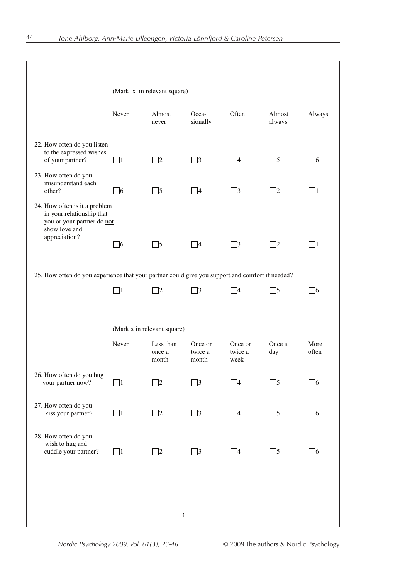|                                                                                                           | (Mark x in relevant square) |                              |                             |                            |                  |               |
|-----------------------------------------------------------------------------------------------------------|-----------------------------|------------------------------|-----------------------------|----------------------------|------------------|---------------|
|                                                                                                           | Never                       | Almost<br>never              | Occa-<br>sionally           | Often                      | Almost<br>always | Always        |
| 22. How often do you listen<br>to the expressed wishes<br>of your partner?                                | $\Box$ 1                    | $\Box$ 2                     | $\Box$ 3                    | $\Box$ 4                   | $\Box$ 5         | $\Box$ 6      |
| 23. How often do you<br>misunderstand each<br>other?                                                      | $\Box$ 6                    | $\Box$ 5                     | $\Box$ 4                    | $\Box$ 3                   | $\Box$ 2         | $\Box$ 1      |
| 24. How often is it a problem<br>in your relationship that<br>you or your partner do not<br>show love and |                             |                              |                             |                            |                  |               |
| appreciation?                                                                                             | $\Box$ 6                    | $\Box$ 5                     | $\Box$ 4                    | $\Box$ 3                   | $\Box$ 2         | $\Box$ 1      |
| 25. How often do you experience that your partner could give you support and comfort if needed?           |                             |                              |                             |                            |                  |               |
|                                                                                                           | $\Box$ 1                    | $\Box$ 2                     | $\Box$ 3                    | $\Box$ 4                   | $\Box$ 5         | $\Box$ 6      |
|                                                                                                           | (Mark x in relevant square) |                              |                             |                            |                  |               |
|                                                                                                           | Never                       | Less than<br>once a<br>month | Once or<br>twice a<br>month | Once or<br>twice a<br>week | Once a<br>day    | More<br>often |
| 26. How often do you hug<br>your partner now?                                                             | $\Box$ 1                    | $\Box$ 2                     | $\Box$ 3                    | $\Box$ 4                   | $\Box$ 5         | $\Box$ 6      |
| 27. How often do you<br>kiss your partner?                                                                | $\Box$ 1                    | $\Box$ 2                     | $\Box$ 3                    | $\Box$ 4                   | $\Box$ 5         | $\Box$ 6      |
| 28. How often do you<br>wish to hug and<br>cuddle your partner?                                           | $\Box$ 1                    | $\Box$ 2                     | $\Box$ 3                    | $\Box$ 4                   | $\Box$ 5         | $\Box$ 6      |
|                                                                                                           |                             |                              |                             |                            |                  |               |
|                                                                                                           |                             |                              |                             |                            |                  |               |
|                                                                                                           |                             | 3                            |                             |                            |                  |               |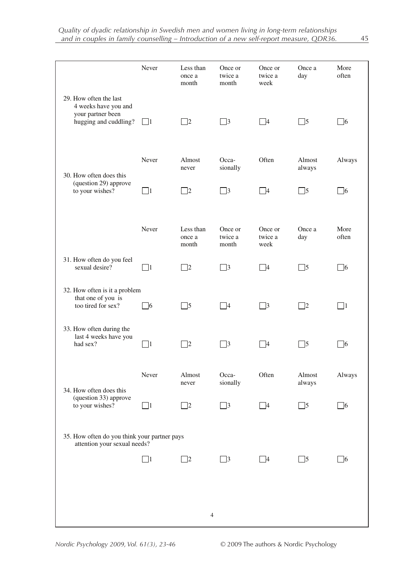|                                                                                              | Never    | Less than<br>once a<br>month | Once or<br>twice a<br>month | Once or<br>twice a<br>week | Once a<br>day    | More<br>often |
|----------------------------------------------------------------------------------------------|----------|------------------------------|-----------------------------|----------------------------|------------------|---------------|
| 29. How often the last<br>4 weeks have you and<br>your partner been<br>hugging and cuddling? | $\Box$   | $\Box$ 2                     | $\Box$ 3                    | $\Box$ 4                   | $\Box$ 5         | $\Box$ 6      |
| 30. How often does this<br>(question 29) approve<br>to your wishes?                          | Never    | Almost<br>never              | Occa-<br>sionally           | Often                      | Almost<br>always | Always        |
|                                                                                              | $\Box$ 1 | $\Box$ 2                     | $\Box$ 3                    | $\Box$ 4                   | $\Box$ 5         | $\Box$ 6      |
|                                                                                              | Never    | Less than<br>once a<br>month | Once or<br>twice a<br>month | Once or<br>twice a<br>week | Once a<br>day    | More<br>often |
| 31. How often do you feel<br>sexual desire?                                                  | $\Box$ 1 | $\Box$ 2                     | $\Box$ 3                    | $\Box$ 4                   | $\Box$ 5         | $\Box$ 6      |
| 32. How often is it a problem<br>that one of you is<br>too tired for sex?                    | $\Box$ 6 | $\Box$ 5                     | $\Box$ 4                    | $\Box$ 3                   | $\Box$ 2         | $\Box$ 1      |
| 33. How often during the<br>last 4 weeks have you<br>had sex?                                | $\Box$ 1 | $\Box$ 2                     | $\Box$ 3                    | $\Box$ 4                   | $\Box$ 5         | $\square$ 6   |
| 34. How often does this<br>(question 33) approve<br>to your wishes?                          | Never    | Almost<br>never              | Occa-<br>sionally           | Often                      | Almost<br>always | Always        |
|                                                                                              | $\Box$ 1 | $\Box$                       | $\Box$ 3                    | $\Box$ 4                   | $\Box$ 5         | $\Box$ 6      |
| 35. How often do you think your partner pays<br>attention your sexual needs?                 |          |                              |                             |                            |                  |               |
|                                                                                              | $\Box$ 1 | $\Box$ 2                     | $\Box$ 3                    | $\Box$ 4                   | $\Box$ 5         | $\Box$ 6      |
|                                                                                              |          |                              |                             |                            |                  |               |
|                                                                                              |          | $\overline{4}$               |                             |                            |                  |               |